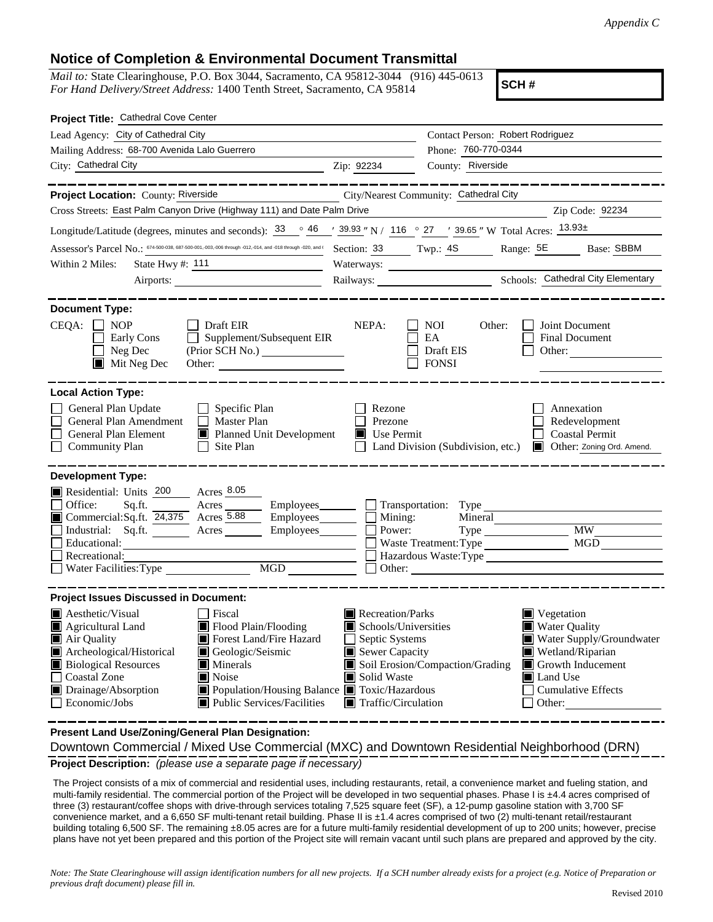## **Notice of Completion & Environmental Document Transmittal**

*Mail to:* State Clearinghouse, P.O. Box 3044, Sacramento, CA 95812-3044 (916) 445-0613 *For Hand Delivery/Street Address:* 1400 Tenth Street, Sacramento, CA 95814

**SCH #**

| Project Title: Cathedral Cove Center                                                                                                                                                                                                                                                                                                                                                                                                    |                                                                                                                                   |                                                                           |                                                                                                                                                                   |
|-----------------------------------------------------------------------------------------------------------------------------------------------------------------------------------------------------------------------------------------------------------------------------------------------------------------------------------------------------------------------------------------------------------------------------------------|-----------------------------------------------------------------------------------------------------------------------------------|---------------------------------------------------------------------------|-------------------------------------------------------------------------------------------------------------------------------------------------------------------|
| Lead Agency: City of Cathedral City                                                                                                                                                                                                                                                                                                                                                                                                     |                                                                                                                                   | Contact Person: Robert Rodriguez                                          |                                                                                                                                                                   |
| Mailing Address: 68-700 Avenida Lalo Guerrero                                                                                                                                                                                                                                                                                                                                                                                           |                                                                                                                                   | Phone: 760-770-0344                                                       |                                                                                                                                                                   |
| City: Cathedral City<br>$\overline{2ip}$ : 92234                                                                                                                                                                                                                                                                                                                                                                                        |                                                                                                                                   | County: Riverside                                                         |                                                                                                                                                                   |
|                                                                                                                                                                                                                                                                                                                                                                                                                                         |                                                                                                                                   |                                                                           |                                                                                                                                                                   |
| Project Location: County: Riverside                                                                                                                                                                                                                                                                                                                                                                                                     |                                                                                                                                   | City/Nearest Community: Cathedral City                                    |                                                                                                                                                                   |
| Cross Streets: East Palm Canyon Drive (Highway 111) and Date Palm Drive                                                                                                                                                                                                                                                                                                                                                                 |                                                                                                                                   |                                                                           | Zip Code: 92234                                                                                                                                                   |
| Longitude/Latitude (degrees, minutes and seconds): $\frac{33}{9}$ $\frac{46}{9}$ $\frac{139.93}{9}$ N / 116 $\degree$ 27 $\degree$ 13.955 " W Total Acres: $\frac{13.93\pm}{20.93}$                                                                                                                                                                                                                                                     |                                                                                                                                   |                                                                           |                                                                                                                                                                   |
| ASSESSOr's Parcel No.: 674-500-038, 687-500-001, 003, 006 through -012, 014, and -018 through -020, and (                                                                                                                                                                                                                                                                                                                               |                                                                                                                                   |                                                                           | Section: 33 Twp.: 4S Range: 5E Base: SBBM                                                                                                                         |
| State Hwy #: 111<br>Within 2 Miles:                                                                                                                                                                                                                                                                                                                                                                                                     | Waterways:                                                                                                                        |                                                                           |                                                                                                                                                                   |
| Airports:                                                                                                                                                                                                                                                                                                                                                                                                                               |                                                                                                                                   |                                                                           | Railways: Cathedral City Elementary                                                                                                                               |
| <b>Document Type:</b><br>$CEQA: \Box NP$<br>Draft EIR<br>$\Box$ Supplement/Subsequent EIR<br>Early Cons<br>Neg Dec<br>(Prior SCH No.) ________________<br>$\blacksquare$ Mit Neg Dec<br>Other:                                                                                                                                                                                                                                          | NEPA:                                                                                                                             | NOI.<br>Other:<br>EA<br>Draft EIS<br><b>FONSI</b>                         | Joint Document<br><b>Final Document</b><br>Other:                                                                                                                 |
| <b>Local Action Type:</b>                                                                                                                                                                                                                                                                                                                                                                                                               |                                                                                                                                   |                                                                           |                                                                                                                                                                   |
| General Plan Update<br>$\Box$ Specific Plan<br>General Plan Amendment<br>$\Box$ Master Plan<br>General Plan Element<br>Planned Unit Development<br><b>Community Plan</b><br>$\Box$ Site Plan                                                                                                                                                                                                                                            | Rezone<br>Prezone<br>$\blacksquare$ Use Permit                                                                                    |                                                                           | Annexation<br>Redevelopment<br><b>Coastal Permit</b><br>Land Division (Subdivision, etc.) <b>I</b> Other: Zoning Ord. Amend.                                      |
| <b>Development Type:</b><br>Residential: Units 200 Acres 8.05<br>Sq.ft. ________ Acres _________ Employees _______ _ _ Transportation: Type<br>Office:<br>Commercial:Sq.ft. $\overline{24,375}$ Acres $\overline{5.88}$<br>Industrial: Sq.ft. Acres Employees Bernard Power:<br>Educational:<br><u> 1989 - Johann Stoff, deutscher Stoffen und der Stoffen und der Stoffen und der Stoffen und der Stoffen und der</u><br>Recreational: | $Employes \_\_ \Box$ Mining:                                                                                                      | Mineral<br>Waste Treatment: Type<br>Hazardous Waste:Type<br>$\Box$ Other: | <b>MW</b><br>MGD                                                                                                                                                  |
| <b>Project Issues Discussed in Document:</b>                                                                                                                                                                                                                                                                                                                                                                                            |                                                                                                                                   |                                                                           |                                                                                                                                                                   |
| <b>A</b> esthetic/Visual<br>l Fiscal<br>Flood Plain/Flooding<br>$\blacksquare$ Agricultural Land<br>Forest Land/Fire Hazard<br>Air Quality<br>Archeological/Historical<br>Geologic/Seismic<br><b>Biological Resources</b><br>Minerals<br><b>Coastal Zone</b><br>Noise<br>Drainage/Absorption<br>Population/Housing Balance Toxic/Hazardous<br>Public Services/Facilities<br>$\Box$ Economic/Jobs                                        | Recreation/Parks<br>Schools/Universities<br>Septic Systems<br>Sewer Capacity<br>Solid Waste<br>$\blacksquare$ Traffic/Circulation | Soil Erosion/Compaction/Grading                                           | Vegetation<br><b>Water Quality</b><br>Water Supply/Groundwater<br>Wetland/Riparian<br>Growth Inducement<br>Land Use<br><b>Cumulative Effects</b><br>$\Box$ Other: |

**Present Land Use/Zoning/General Plan Designation:**

**Project Description:** *(please use a separate page if necessary)* Downtown Commercial / Mixed Use Commercial (MXC) and Downtown Residential Neighborhood (DRN)

The Project consists of a mix of commercial and residential uses, including restaurants, retail, a convenience market and fueling station, and multi-family residential. The commercial portion of the Project will be developed in two sequential phases. Phase I is ±4.4 acres comprised of three (3) restaurant/coffee shops with drive-through services totaling 7,525 square feet (SF), a 12-pump gasoline station with 3,700 SF convenience market, and a 6,650 SF multi-tenant retail building. Phase II is ±1.4 acres comprised of two (2) multi-tenant retail/restaurant building totaling 6,500 SF. The remaining ±8.05 acres are for a future multi-family residential development of up to 200 units; however, precise plans have not yet been prepared and this portion of the Project site will remain vacant until such plans are prepared and approved by the city.

*Note: The State Clearinghouse will assign identification numbers for all new projects. If a SCH number already exists for a project (e.g. Notice of Preparation or previous draft document) please fill in.*